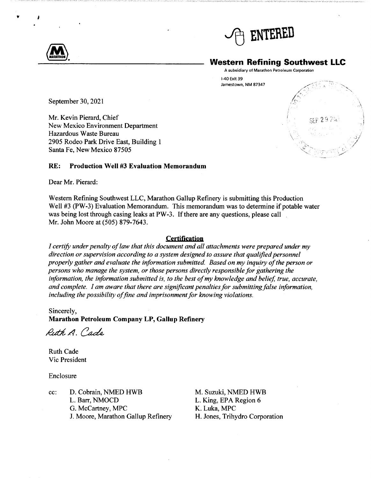

## **Western Refining Southwest LLC**

 $29.7\%$ 

A subsidiary of Marathon Petroleum Corporation

1-40 Exit 39 Jamestown, NM 87347

September 30, 2021

Mr. Kevin Pierard, Chief New Mexico Environment Department Hazardous Waste Bureau 2905 Rodeo Park Drive East, Building 1 Santa Fe, New Mexico 87505

## **RE: Production Well #3 Evaluation Memorandum**

Dear Mr. Pierard:

Western Refining Southwest LLC, Marathon Gallup Refinery is submitting this Production Well #3 (PW-3) Evaluation Memorandum. This memorandum was to determine if potable water was being lost through casing leaks at PW-3. If there are any questions, please call Mr. John Moore at (505) 879-7643.

## **Certification**

*I certify under penalty of law that this document and all attachments were prepared under my direction or supervision according to a system designed to assure that qualified personnel properly gather and evaluate the information submitted. Based on my inquiry of the person or persons who manage the system, or those persons directly responsible for gathering the information, the information submitted is, to the best of my knowledge and belief, true, accurate, and complete. I am aware that there are significant penalties for submittingfalse information, including the possibility of fine and imprisonment for knowing violations.* 

Sincerely, **Marathon Petroleum Company LP, Gallup Refinery** 

Rith A. Cade

Ruth Cade Vic President

Enclosure

cc: D. Cobrain, NMED HWB L. Barr, NMOCD G. McCartney, MPC J. Moore, Marathon Gallup Refinery M. Suzuki, NMED HWB L. King, EPA Region 6 K. Luka, MPC H. Jones, Trihydro Corporation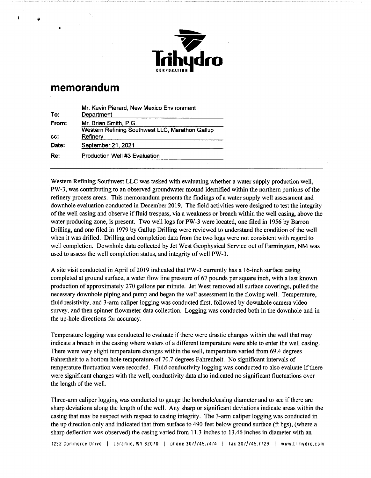

## **memorandum**

 $\mathbf{A}$ 

| Mr. Kevin Pierard, New Mexico Environment<br>Department |
|---------------------------------------------------------|
| Mr. Brian Smith, P.G.                                   |
| Western Refining Southwest LLC, Marathon Gallup         |
| Refinery                                                |
| September 21, 2021                                      |
| <b>Production Well #3 Evaluation</b>                    |
|                                                         |

Western Refining Southwest LLC was tasked with evaluating whether a water supply production well, PW-3, was contributing to an observed groundwater mound identified within the northern portions of the refinery process areas. This memorandum presents the findings of a water supply well assessment and downhole evaluation conducted in December 2019. The field activities were designed to test the integrity of the well casing and observe if fluid trespass, via a weakness or breach within the well casing, above the water producing zone, is present. Two well logs for PW-3 were located, one filed in 1956 by Barron Drilling, and one filed in 1979 by Gallup Drilling were reviewed to understand the condition of the well when it was drilled. Drilling and completion data from the two logs were not consistent with regard to well completion. Downhole data collected by Jet West Geophysical Service out of Farmington, NM was used to assess the well completion status, and integrity of well PW-3.

A site visit conducted in April of 2019 indicated that PW-3 currently has a 16-inch surface casing completed at ground surface, a water flow line pressure of 67 pounds per square inch, with a last known production of approximately 270 gallons per minute. Jet West removed all surface coverings, pulled the necessary downhole piping and pump and began the well assessment in the flowing well. Temperature, fluid resistivity, and 3-arm caliper logging was conducted first, followed by downhole camera video survey, and then spinner flowmeter data collection. Logging was conducted both in the downhole and in the up-hole directions for accuracy.

Temperature logging was conducted to evaluate if there were drastic changes within the well that may indicate a breach in the casing where waters of a different temperature were able to enter the well casing. There were very slight temperature changes within the well, temperature varied from 69.4 degrees Fahrenheit to a bottom hole temperature of 70.7 degrees Fahrenheit. No significant intervals of temperature fluctuation were recorded. Fluid conductivity logging was conducted to also evaluate if there were significant changes with the well, conductivity data also indicated no significant fluctuations over the length of the well.

Three-arm caliper logging was conducted to gauge the borehole/casing diameter and to see if there are sharp deviations along the length of the well. Any sharp or significant deviations indicate areas within the casing that may be suspect with respect to casing integrity. The 3-arm caliper logging was conducted in the up direction only and indicated that from surface to 490 feet below ground surface (ft bgs), (where a sharp deflection was observed) the casing varied from 11.3 inches to 13.46 inches in diameter with an

1252 Commerce Drive I Laramie. WY 82070 I phone 307/745.7474 I fax 307/745.7729 I www.trihydro.com